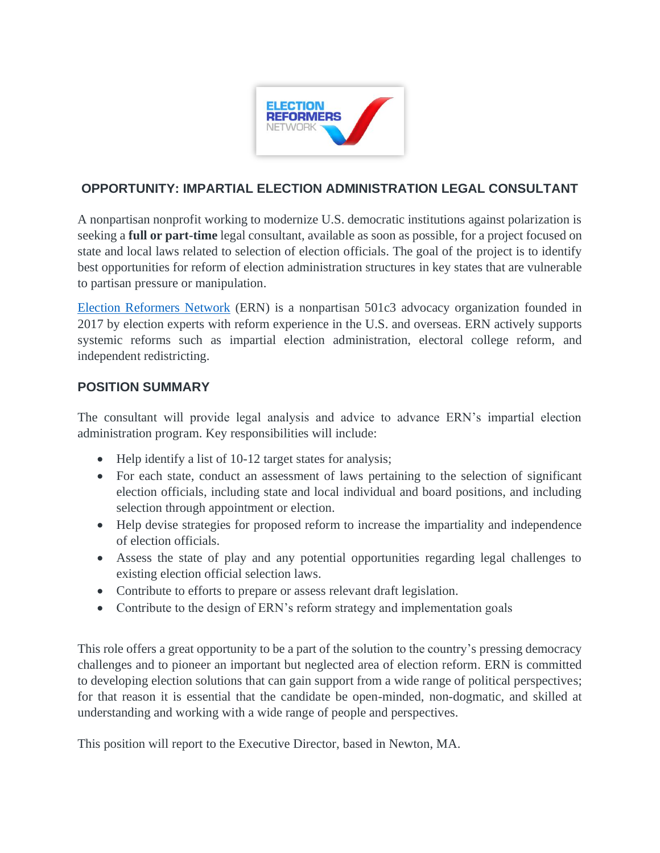

## **OPPORTUNITY: IMPARTIAL ELECTION ADMINISTRATION LEGAL CONSULTANT**

A nonpartisan nonprofit working to modernize U.S. democratic institutions against polarization is seeking a **full or part-time** legal consultant, available as soon as possible, for a project focused on state and local laws related to selection of election officials. The goal of the project is to identify best opportunities for reform of election administration structures in key states that are vulnerable to partisan pressure or manipulation.

[Election Reformers Network](https://electionreformers.org/) (ERN) is a nonpartisan 501c3 advocacy organization founded in 2017 by election experts with reform experience in the U.S. and overseas. ERN actively supports systemic reforms such as impartial election administration, electoral college reform, and independent redistricting.

## **POSITION SUMMARY**

The consultant will provide legal analysis and advice to advance ERN's impartial election administration program. Key responsibilities will include:

- Help identify a list of 10-12 target states for analysis;
- For each state, conduct an assessment of laws pertaining to the selection of significant election officials, including state and local individual and board positions, and including selection through appointment or election.
- Help devise strategies for proposed reform to increase the impartiality and independence of election officials.
- Assess the state of play and any potential opportunities regarding legal challenges to existing election official selection laws.
- Contribute to efforts to prepare or assess relevant draft legislation.
- Contribute to the design of ERN's reform strategy and implementation goals

This role offers a great opportunity to be a part of the solution to the country's pressing democracy challenges and to pioneer an important but neglected area of election reform. ERN is committed to developing election solutions that can gain support from a wide range of political perspectives; for that reason it is essential that the candidate be open-minded, non-dogmatic, and skilled at understanding and working with a wide range of people and perspectives.

This position will report to the Executive Director, based in Newton, MA.